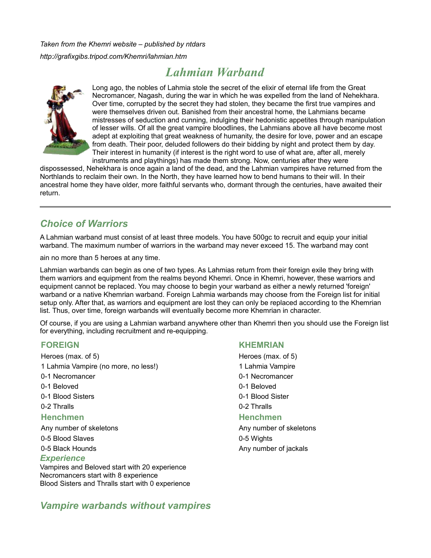*Taken from the Khemri website – published by ntdars http://grafixgibs.tripod.com/Khemri/lahmian.htm*

# *Lahmian Warband*



Long ago, the nobles of Lahmia stole the secret of the elixir of eternal life from the Great Necromancer, Nagash, during the war in which he was expelled from the land of Nehekhara. Over time, corrupted by the secret they had stolen, they became the first true vampires and were themselves driven out. Banished from their ancestral home, the Lahmians became mistresses of seduction and cunning, indulging their hedonistic appetites through manipulation of lesser wills. Of all the great vampire bloodlines, the Lahmians above all have become most adept at exploiting that great weakness of humanity, the desire for love, power and an escape from death. Their poor, deluded followers do their bidding by night and protect them by day. Their interest in humanity (if interest is the right word to use of what are, after all, merely instruments and playthings) has made them strong. Now, centuries after they were

dispossessed, Nehekhara is once again a land of the dead, and the Lahmian vampires have returned from the Northlands to reclaim their own. In the North, they have learned how to bend humans to their will. In their ancestral home they have older, more faithful servants who, dormant through the centuries, have awaited their return.

## *Choice of Warriors*

A Lahmian warband must consist of at least three models. You have 500gc to recruit and equip your initial warband. The maximum number of warriors in the warband may never exceed 15. The warband may cont

ain no more than 5 heroes at any time.

Lahmian warbands can begin as one of two types. As Lahmias return from their foreign exile they bring with them warriors and equipment from the realms beyond Khemri. Once in Khemri, however, these warriors and equipment cannot be replaced. You may choose to begin your warband as either a newly returned 'foreign' warband or a native Khemrian warband. Foreign Lahmia warbands may choose from the Foreign list for initial setup only. After that, as warriors and equipment are lost they can only be replaced according to the Khemrian list. Thus, over time, foreign warbands will eventually become more Khemrian in character.

Of course, if you are using a Lahmian warband anywhere other than Khemri then you should use the Foreign list for everything, including recruitment and re-equipping.

Heroes (max. of 5) Heroes (max. of 5) 1 Lahmia Vampire (no more, no less!) 1 Lahmia Vampire 0-1 Necromancer 0-1 Necromancer 0-1 Beloved **0-1 Beloved 0-1 Beloved** 0-1 Blood Sisters 0-1 Blood Sister 0-2 Thralls 0-2 Thralls

#### **Henchmen Henchmen**

Any number of skeletons Any number of skeletons Any number of skeletons 0-5 Blood Slaves **0-5 Wights** 0-5 Black Hounds **Any number of jackals** Any number of jackals

#### *Experience*

Vampires and Beloved start with 20 experience Necromancers start with 8 experience Blood Sisters and Thralls start with 0 experience

#### **FOREIGN KHEMRIAN**

## *Vampire warbands without vampires*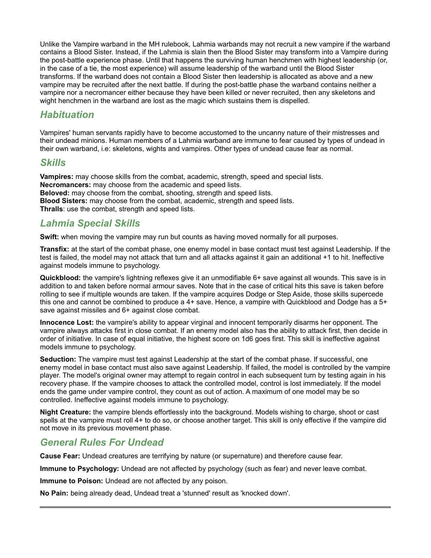Unlike the Vampire warband in the MH rulebook, Lahmia warbands may not recruit a new vampire if the warband contains a Blood Sister. Instead, if the Lahmia is slain then the Blood Sister may transform into a Vampire during the post-battle experience phase. Until that happens the surviving human henchmen with highest leadership (or, in the case of a tie, the most experience) will assume leadership of the warband until the Blood Sister transforms. If the warband does not contain a Blood Sister then leadership is allocated as above and a new vampire may be recruited after the next battle. If during the post-battle phase the warband contains neither a vampire nor a necromancer either because they have been killed or never recruited, then any skeletons and wight henchmen in the warband are lost as the magic which sustains them is dispelled.

## *Habituation*

Vampires' human servants rapidly have to become accustomed to the uncanny nature of their mistresses and their undead minions. Human members of a Lahmia warband are immune to fear caused by types of undead in their own warband, i.e: skeletons, wights and vampires. Other types of undead cause fear as normal.

## *Skills*

**Vampires:** may choose skills from the combat, academic, strength, speed and special lists. **Necromancers:** may choose from the academic and speed lists. **Beloved:** may choose from the combat, shooting, strength and speed lists. **Blood Sisters:** may choose from the combat, academic, strength and speed lists. **Thralls**: use the combat, strength and speed lists.

## *Lahmia Special Skills*

**Swift:** when moving the vampire may run but counts as having moved normally for all purposes.

**Transfix:** at the start of the combat phase, one enemy model in base contact must test against Leadership. If the test is failed, the model may not attack that turn and all attacks against it gain an additional +1 to hit. Ineffective against models immune to psychology.

**Quickblood:** the vampire's lightning reflexes give it an unmodifiable 6+ save against all wounds. This save is in addition to and taken before normal armour saves. Note that in the case of critical hits this save is taken before rolling to see if multiple wounds are taken. If the vampire acquires Dodge or Step Aside, those skills supercede this one and cannot be combined to produce a 4+ save. Hence, a vampire with Quickblood and Dodge has a 5+ save against missiles and 6+ against close combat.

**Innocence Lost:** the vampire's ability to appear virginal and innocent temporarily disarms her opponent. The vampire always attacks first in close combat. If an enemy model also has the ability to attack first, then decide in order of initiative. In case of equal initiative, the highest score on 1d6 goes first. This skill is ineffective against models immune to psychology.

**Seduction:** The vampire must test against Leadership at the start of the combat phase. If successful, one enemy model in base contact must also save against Leadership. If failed, the model is controlled by the vampire player. The model's original owner may attempt to regain control in each subsequent turn by testing again in his recovery phase. If the vampire chooses to attack the controlled model, control is lost immediately. If the model ends the game under vampire control, they count as out of action. A maximum of one model may be so controlled. Ineffective against models immune to psychology.

**Night Creature:** the vampire blends effortlessly into the background. Models wishing to charge, shoot or cast spells at the vampire must roll 4+ to do so, or choose another target. This skill is only effective if the vampire did not move in its previous movement phase.

## *General Rules For Undead*

**Cause Fear:** Undead creatures are terrifying by nature (or supernature) and therefore cause fear.

**Immune to Psychology:** Undead are not affected by psychology (such as fear) and never leave combat.

**Immune to Poison:** Undead are not affected by any poison.

**No Pain:** being already dead, Undead treat a 'stunned' result as 'knocked down'.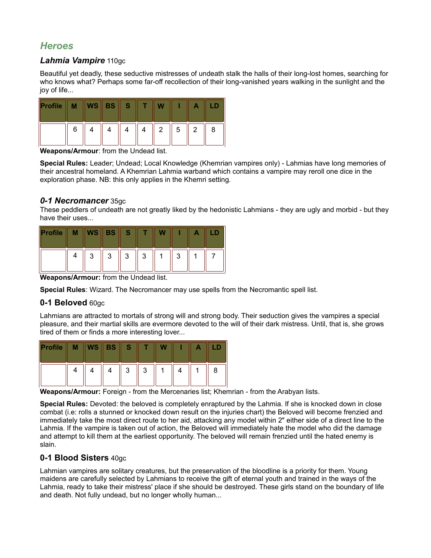## *Heroes*

#### *Lahmia Vampire* 110gc

Beautiful yet deadly, these seductive mistresses of undeath stalk the halls of their long-lost homes, searching for who knows what? Perhaps some far-off recollection of their long-vanished years walking in the sunlight and the joy of life...

| Profile |   | $WS \, \parallel$ BS $\parallel$ | S |   |   |   |   |
|---------|---|----------------------------------|---|---|---|---|---|
|         | 6 |                                  |   | 2 | 5 | 2 | 8 |

**Weapons/Armour**: from the Undead list.

**Special Rules:** Leader; Undead; Local Knowledge (Khemrian vampires only) - Lahmias have long memories of their ancestral homeland. A Khemrian Lahmia warband which contains a vampire may reroll one dice in the exploration phase. NB: this only applies in the Khemri setting.

#### *0-1 Necromancer* 35gc

These peddlers of undeath are not greatly liked by the hedonistic Lahmians - they are ugly and morbid - but they have their uses...

| Profile | М | WS | <b>BS</b> | S. |   |   |  |
|---------|---|----|-----------|----|---|---|--|
|         |   | 3  | 3         | 3  | 3 | 2 |  |

**Weapons/Armour:** from the Undead list.

**Special Rules**: Wizard. The Necromancer may use spells from the Necromantic spell list.

#### **0-1 Beloved** 60gc

Lahmians are attracted to mortals of strong will and strong body. Their seduction gives the vampires a special pleasure, and their martial skills are evermore devoted to the will of their dark mistress. Until, that is, she grows tired of them or finds a more interesting lover...

| Profile | М | $\mathsf{WS} \parallel$ | <b>BS</b> | <b>IST</b> |        |  |   |
|---------|---|-------------------------|-----------|------------|--------|--|---|
|         |   |                         |           | 3          | 2<br>ັ |  | 8 |

**Weapons/Armour:** Foreign - from the Mercenaries list; Khemrian - from the Arabyan lists.

**Special Rules:** Devoted: the beloved is completely enraptured by the Lahmia. If she is knocked down in close combat (i.e: rolls a stunned or knocked down result on the injuries chart) the Beloved will become frenzied and immediately take the most direct route to her aid, attacking any model within 2" either side of a direct line to the Lahmia. If the vampire is taken out of action, the Beloved will immediately hate the model who did the damage and attempt to kill them at the earliest opportunity. The beloved will remain frenzied until the hated enemy is slain.

#### **0-1 Blood Sisters** 40gc

Lahmian vampires are solitary creatures, but the preservation of the bloodline is a priority for them. Young maidens are carefully selected by Lahmians to receive the gift of eternal youth and trained in the ways of the Lahmia, ready to take their mistress' place if she should be destroyed. These girls stand on the boundary of life and death. Not fully undead, but no longer wholly human...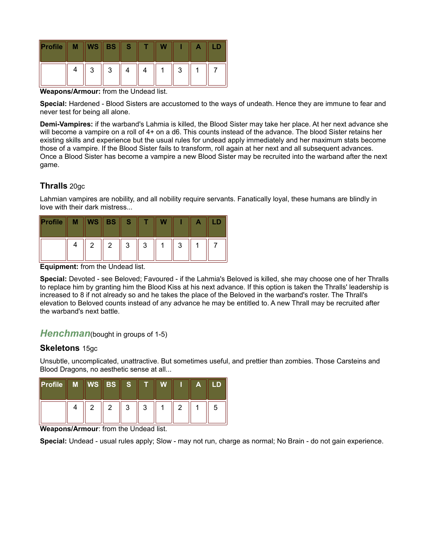| <b>Profile</b> | <b>WS</b> | <b>BS</b> |  |   |  |
|----------------|-----------|-----------|--|---|--|
|                | ◠         | າ<br>ບ    |  | ാ |  |

**Weapons/Armour:** from the Undead list.

**Special:** Hardened - Blood Sisters are accustomed to the ways of undeath. Hence they are immune to fear and never test for being all alone.

**Demi-Vampires:** if the warband's Lahmia is killed, the Blood Sister may take her place. At her next advance she will become a vampire on a roll of 4+ on a d6. This counts instead of the advance. The blood Sister retains her existing skills and experience but the usual rules for undead apply immediately and her maximum stats become those of a vampire. If the Blood Sister fails to transform, roll again at her next and all subsequent advances. Once a Blood Sister has become a vampire a new Blood Sister may be recruited into the warband after the next game.

#### **Thralls** 20gc

Lahmian vampires are nobility, and all nobility require servants. Fanatically loyal, these humans are blindly in love with their dark mistress...

| Profile | M | $\ $ WS $\ $ BS $\ $ |                | <b>AST</b> |   |   |  |
|---------|---|----------------------|----------------|------------|---|---|--|
|         |   | $\mathbf{2}$         | $\overline{2}$ | 3          | ົ | ാ |  |

**Equipment:** from the Undead list.

**Special:** Devoted - see Beloved; Favoured - if the Lahmia's Beloved is killed, she may choose one of her Thralls to replace him by granting him the Blood Kiss at his next advance. If this option is taken the Thralls' leadership is increased to 8 if not already so and he takes the place of the Beloved in the warband's roster. The Thrall's elevation to Beloved counts instead of any advance he may be entitled to. A new Thrall may be recruited after the warband's next battle.

#### **Henchman**(bought in groups of 1-5)

#### **Skeletons** 15gc

Unsubtle, uncomplicated, unattractive. But sometimes useful, and prettier than zombies. Those Carsteins and Blood Dragons, no aesthetic sense at all...

| $\ $ Profile | $\overline{M}$ WS BS |   | S. |   | W |   | Α |   |
|--------------|----------------------|---|----|---|---|---|---|---|
|              |                      | 2 | 3  | 3 |   | っ |   | 5 |

**Weapons/Armour**: from the Undead list.

**Special:** Undead - usual rules apply; Slow - may not run, charge as normal; No Brain - do not gain experience.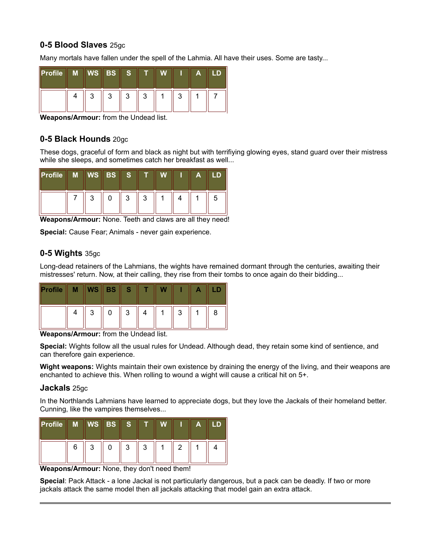### **0-5 Blood Slaves** 25gc

Many mortals have fallen under the spell of the Lahmia. All have their uses. Some are tasty...

| $\ $ Profile | M   WS   BS |   | -S     |        |   | А |  |
|--------------|-------------|---|--------|--------|---|---|--|
|              | າ<br>ບ      | 2 | 2<br>J | າ<br>ບ | 2 |   |  |

**Weapons/Armour:** from the Undead list.

#### **0-5 Black Hounds** 20gc

These dogs, graceful of form and black as night but with terrifiying glowing eyes, stand guard over their mistress while she sleeps, and sometimes catch her breakfast as well...

| $\ $ Profile $\ $ | M WS BS S |   |   |  | А |   |
|-------------------|-----------|---|---|--|---|---|
|                   | ◠         | 3 | 2 |  |   | 5 |

**Weapons/Armour:** None. Teeth and claws are all they need!

**Special:** Cause Fear; Animals - never gain experience.

#### **0-5 Wights** 35gc

Long-dead retainers of the Lahmians, the wights have remained dormant through the centuries, awaiting their mistresses' return. Now, at their calling, they rise from their tombs to once again do their bidding...

| <b>Profile</b> |        | $WS \parallel BS \parallel$ | <b>AST</b> |  |   |  |
|----------------|--------|-----------------------------|------------|--|---|--|
|                | ◠<br>ັ |                             | 3          |  | ാ |  |

**Weapons/Armour:** from the Undead list.

**Special:** Wights follow all the usual rules for Undead. Although dead, they retain some kind of sentience, and can therefore gain experience.

**Wight weapons:** Wights maintain their own existence by draining the energy of the living, and their weapons are enchanted to achieve this. When rolling to wound a wight will cause a critical hit on 5+.

#### **Jackals** 25gc

In the Northlands Lahmians have learned to appreciate dogs, but they love the Jackals of their homeland better. Cunning, like the vampires themselves...

| $\ $ Profile | M | <b>WSBS</b> | <b>AST</b> |   |   | А |  |
|--------------|---|-------------|------------|---|---|---|--|
|              | 6 | ◠           | າ<br>J     | 2 | ◠ |   |  |

**Weapons/Armour:** None, they don't need them!

**Special**: Pack Attack - a lone Jackal is not particularly dangerous, but a pack can be deadly. If two or more jackals attack the same model then all jackals attacking that model gain an extra attack.